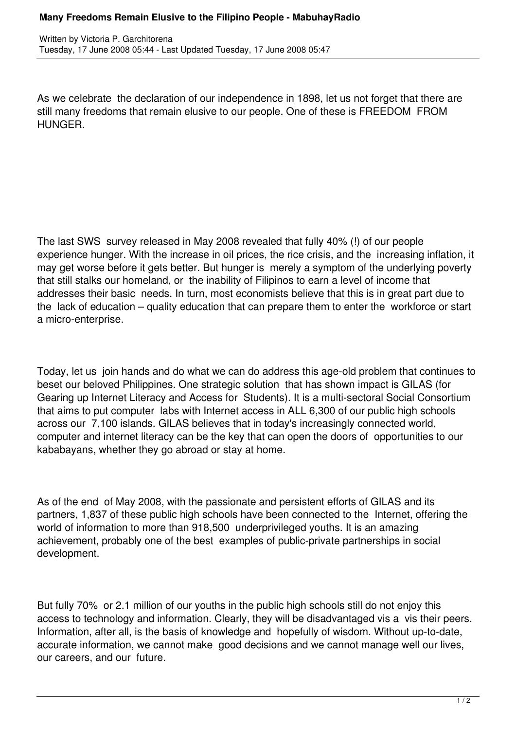## **Many Freedoms Remain Elusive to the Filipino People - MabuhayRadio**

As we celebrate the declaration of our independence in 1898, let us not forget that there are still many freedoms that remain elusive to our people. One of these is FREEDOM FROM HUNGER.

The last SWS survey released in May 2008 revealed that fully 40% (!) of our people experience hunger. With the increase in oil prices, the rice crisis, and the increasing inflation, it may get worse before it gets better. But hunger is merely a symptom of the underlying poverty that still stalks our homeland, or the inability of Filipinos to earn a level of income that addresses their basic needs. In turn, most economists believe that this is in great part due to the lack of education – quality education that can prepare them to enter the workforce or start a micro-enterprise.

Today, let us join hands and do what we can do address this age-old problem that continues to beset our beloved Philippines. One strategic solution that has shown impact is GILAS (for Gearing up Internet Literacy and Access for Students). It is a multi-sectoral Social Consortium that aims to put computer labs with Internet access in ALL 6,300 of our public high schools across our 7,100 islands. GILAS believes that in today's increasingly connected world, computer and internet literacy can be the key that can open the doors of opportunities to our kababayans, whether they go abroad or stay at home.

As of the end of May 2008, with the passionate and persistent efforts of GILAS and its partners, 1,837 of these public high schools have been connected to the Internet, offering the world of information to more than 918,500 underprivileged youths. It is an amazing achievement, probably one of the best examples of public-private partnerships in social development.

But fully 70% or 2.1 million of our youths in the public high schools still do not enjoy this access to technology and information. Clearly, they will be disadvantaged vis a vis their peers. Information, after all, is the basis of knowledge and hopefully of wisdom. Without up-to-date, accurate information, we cannot make good decisions and we cannot manage well our lives, our careers, and our future.